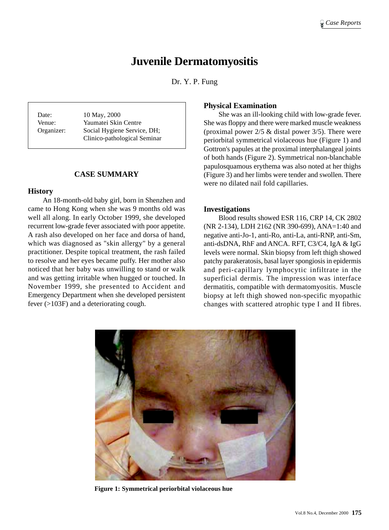# **Juvenile Dermatomyositis**

Dr. Y. P. Fung

Date: 10 May, 2000 Venue: Yaumatei Skin Centre Organizer: Social Hygiene Service, DH; Clinico-pathological Seminar

#### **CASE SUMMARY**

#### **History**

An 18-month-old baby girl, born in Shenzhen and came to Hong Kong when she was 9 months old was well all along. In early October 1999, she developed recurrent low-grade fever associated with poor appetite. A rash also developed on her face and dorsa of hand, which was diagnosed as "skin allergy" by a general practitioner. Despite topical treatment, the rash failed to resolve and her eyes became puffy. Her mother also noticed that her baby was unwilling to stand or walk and was getting irritable when hugged or touched. In November 1999, she presented to Accident and Emergency Department when she developed persistent fever (>103F) and a deteriorating cough.

#### **Physical Examination**

She was an ill-looking child with low-grade fever. She was floppy and there were marked muscle weakness (proximal power  $2/5$  & distal power  $3/5$ ). There were periorbital symmetrical violaceous hue (Figure 1) and Gottron's papules at the proximal interphalangeal joints of both hands (Figure 2). Symmetrical non-blanchable papulosquamous erythema was also noted at her thighs (Figure 3) and her limbs were tender and swollen. There were no dilated nail fold capillaries.

#### **Investigations**

Blood results showed ESR 116, CRP 14, CK 2802 (NR 2-134), LDH 2162 (NR 390-699), ANA=1:40 and negative anti-Jo-1, anti-Ro, anti-La, anti-RNP, anti-Sm, anti-dsDNA, RhF and ANCA. RFT, C3/C4, IgA & IgG levels were normal. Skin biopsy from left thigh showed patchy parakeratosis, basal layer spongiosis in epidermis and peri-capillary lymphocytic infiltrate in the superficial dermis. The impression was interface dermatitis, compatible with dermatomyositis. Muscle biopsy at left thigh showed non-specific myopathic changes with scattered atrophic type I and II fibres.



**Figure 1: Symmetrical periorbital violaceous hue**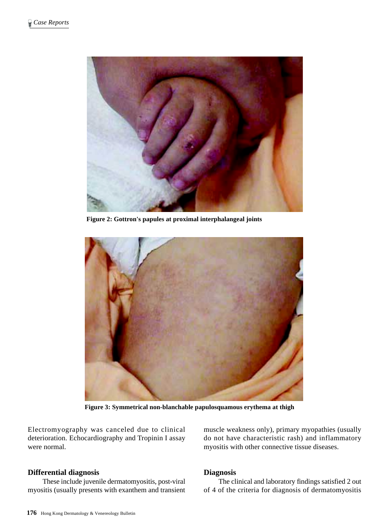

**Figure 2: Gottron's papules at proximal interphalangeal joints**



**Figure 3: Symmetrical non-blanchable papulosquamous erythema at thigh**

Electromyography was canceled due to clinical deterioration. Echocardiography and Tropinin I assay were normal.

## **Differential diagnosis**

These include juvenile dermatomyositis, post-viral myositis (usually presents with exanthem and transient muscle weakness only), primary myopathies (usually do not have characteristic rash) and inflammatory myositis with other connective tissue diseases.

# **Diagnosis**

The clinical and laboratory findings satisfied 2 out of 4 of the criteria for diagnosis of dermatomyositis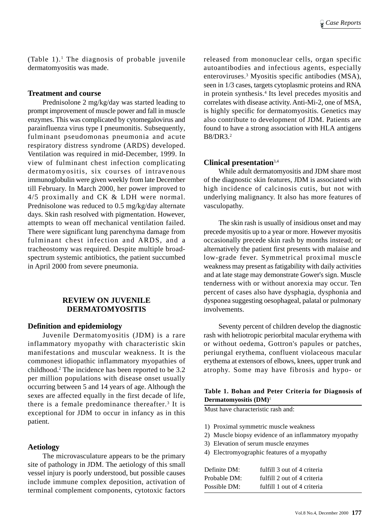(Table  $1$ ).<sup>1</sup> The diagnosis of probable juvenile dermatomyositis was made.

#### **Treatment and course**

Prednisolone 2 mg/kg/day was started leading to prompt improvement of muscle power and fall in muscle enzymes. This was complicated by cytomegalovirus and parainfluenza virus type I pneumonitis. Subsequently, fulminant pseudomonas pneumonia and acute respiratory distress syndrome (ARDS) developed. Ventilation was required in mid-December, 1999. In view of fulminant chest infection complicating dermatomyositis, six courses of intravenous immunoglobulin were given weekly from late December till February. In March 2000, her power improved to 4/5 proximally and CK & LDH were normal. Prednisolone was reduced to 0.5 mg/kg/day alternate days. Skin rash resolved with pigmentation. However, attempts to wean off mechanical ventilation failed. There were significant lung parenchyma damage from fulminant chest infection and ARDS, and a tracheostomy was required. Despite multiple broadspectrum systemic antibiotics, the patient succumbed in April 2000 from severe pneumonia.

## **REVIEW ON JUVENILE DERMATOMYOSITIS**

#### **Definition and epidemiology**

Juvenile Dermatomyositis (JDM) is a rare inflammatory myopathy with characteristic skin manifestations and muscular weakness. It is the commonest idiopathic inflammatory myopathies of childhood.2 The incidence has been reported to be 3.2 per million populations with disease onset usually occurring between 5 and 14 years of age. Although the sexes are affected equally in the first decade of life, there is a female predominance thereafter.<sup>3</sup> It is exceptional for JDM to occur in infancy as in this patient.

## **Aetiology**

The microvasculature appears to be the primary site of pathology in JDM. The aetiology of this small vessel injury is poorly understood, but possible causes include immune complex deposition, activation of terminal complement components, cytotoxic factors

released from mononuclear cells, organ specific autoantibodies and infectious agents, especially enteroviruses.3 Myositis specific antibodies (MSA), seen in 1/3 cases, targets cytoplasmic proteins and RNA in protein synthesis.<sup>4</sup> Its level precedes myositis and correlates with disease activity. Anti-Mi-2, one of MSA, is highly specific for dermatomyositis. Genetics may also contribute to development of JDM. Patients are found to have a strong association with HLA antigens B8/DR3.2

## **Clinical presentation**3,4

While adult dermatomyositis and JDM share most of the diagnostic skin features, JDM is associated with high incidence of calcinosis cutis, but not with underlying malignancy. It also has more features of vasculopathy.

The skin rash is usually of insidious onset and may precede myositis up to a year or more. However myositis occasionally precede skin rash by months instead; or alternatively the patient first presents with malaise and low-grade fever. Symmetrical proximal muscle weakness may present as fatigability with daily activities and at late stage may demonstrate Gower's sign. Muscle tenderness with or without anorexia may occur. Ten percent of cases also have dysphagia, dysphonia and dysponea suggesting oesophageal, palatal or pulmonary involvements.

Seventy percent of children develop the diagnostic rash with heliotropic periorbital macular erythema with or without oedema, Gottron's papules or patches, periungal erythema, confluent violaceous macular erythema at extensors of elbows, knees, upper trunk and atrophy. Some may have fibrosis and hypo- or

## **Table 1. Bohan and Peter Criteria for Diagnosis of Dermatomyositis (DM)**<sup>1</sup>

Must have characteristic rash and:

- 1) Proximal symmetric muscle weakness
- 2) Muscle biopsy evidence of an inflammatory myopathy
- 3) Elevation of serum muscle enzymes
- 4) Electromyographic features of a myopathy

| Definite DM: | fulfill 3 out of 4 criteria |
|--------------|-----------------------------|
| Probable DM: | fulfill 2 out of 4 criteria |
| Possible DM: | fulfill 1 out of 4 criteria |